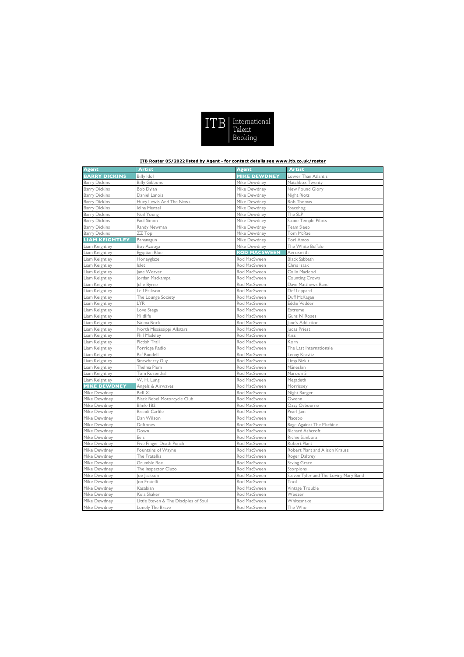|  | $ITB$ $[$ $T_{\text{short}}$<br>Talent<br>Booking |
|--|---------------------------------------------------|
|--|---------------------------------------------------|

## **ITB Roster 05/2022 listed by Agent - for contact details see www.itb.co.uk/roster**

| <b>Agent</b>          | <b>Artist</b>                         | <b>Agent</b>        | <b>Artist</b>                         |
|-----------------------|---------------------------------------|---------------------|---------------------------------------|
| <b>BARRY DICKINS</b>  | <b>Billy Idol</b>                     | <b>MIKE DEWDNEY</b> | Lower Than Atlantis                   |
| <b>Barry Dickins</b>  | <b>Billy Gibbons</b>                  | Mike Dewdney        | Matchbox Twenty                       |
| <b>Barry Dickins</b>  | Bob Dylan                             | Mike Dewdney        | New Found Glory                       |
| <b>Barry Dickins</b>  | Daniel Lanois                         | Mike Dewdney        | Night Riots                           |
| <b>Barry Dickins</b>  | Huey Lewis And The News               | Mike Dewdney        | Rob Thomas                            |
| <b>Barry Dickins</b>  | Idina Menzel                          | Mike Dewdney        | Spacehog                              |
| <b>Barry Dickins</b>  | Neil Young                            | Mike Dewdney        | The SLP                               |
| <b>Barry Dickins</b>  | Paul Simon                            | Mike Dewdney        | Stone Temple Pilots                   |
| <b>Barry Dickins</b>  | Randy Newman                          | Mike Dewdney        | Team Sleep                            |
| <b>Barry Dickins</b>  | ZZ Top                                | Mike Dewdney        | Tom McRae                             |
| <b>LIAM KEIGHTLEY</b> | Bananagun                             | Mike Dewdney        | Tori Amos                             |
| Liam Keightley        | Boy Azooga                            | Mike Dewdney        | The White Buffalo                     |
| Liam Keightley        | Egyptian Blue                         | <b>ROD MACSWEEN</b> | Aerosmith                             |
| Liam Keightley        | Honeyglaze                            | Rod MacSween        | <b>Black Sabbath</b>                  |
| Liam Keightley        | Islet                                 | Rod MacSween        | Chris Isaak                           |
| Liam Keightley        | ane Weaver                            | Rod MacSween        | Colin Macleod                         |
| Liam Keightley        | ordan Mackampa                        | Rod MacSween        | <b>Counting Crows</b>                 |
| Liam Keightley        | Julie Byrne                           | Rod MacSween        | Dave Matthews Band                    |
| Liam Keightley        | Leif Erikson                          | Rod MacSween        | Def Leppard                           |
| Liam Keightley        | The Lounge Society                    | Rod MacSween        | Duff McKagan                          |
| Liam Keightley        | LYR                                   | Rod MacSween        | Eddie Vedder                          |
| Liam Keightley        | Love Ssega                            | Rod MacSween        | Extreme                               |
| Liam Keightley        | Mildlife                              | Rod MacSween        | Guns N' Roses                         |
| Liam Keightley        | Naima Bock                            | Rod MacSween        | Jane's Addiction                      |
| Liam Keightley        | North Mississippi Allstars            | Rod MacSween        | Judas Priest                          |
| Liam Keightley        | Phil Madeley                          | Rod MacSween        | Kiss                                  |
| Liam Keightley        | Pictish Trail                         | Rod MacSween        | Korn                                  |
| Liam Keightley        | Porridge Radio                        | Rod MacSween        | The Last Internationale               |
| Liam Keightley        | Raf Rundell                           | Rod MacSween        | Lenny Kravitz                         |
| Liam Keightley        | Strawberry Guy                        | Rod MacSween        | Limp Bizkit                           |
| Liam Keightley        | Thelma Plum                           | Rod MacSween        | Måneskin                              |
| Liam Keightley        | Tom Rosenthal                         | Rod MacSween        | Maroon 5                              |
| Liam Keightley        | W. H. Lung                            | Rod MacSween        | Megadeth                              |
| <b>MIKE DEWDNEY</b>   | Angels & Airwaves                     | Rod MacSween        | Morrissey                             |
| Mike Dewdney          | Bell XI                               | Rod MacSween        | Night Ranger                          |
| Mike Dewdney          | <b>Black Rebel Motorcycle Club</b>    | Rod MacSween        | Owenn                                 |
| Mike Dewdney          | <b>Blink-182</b>                      | Rod MacSween        | Ozzy Osbourne                         |
| Mike Dewdney          | Brandi Carlile                        | Rod MacSween        | Pearl Jam                             |
| Mike Dewdney          | Dan Wilson                            | Rod MacSween        | Placebo                               |
| Mike Dewdney          | Deftones                              | Rod MacSween        | Rage Against The Machine              |
| Mike Dewdney          | Down                                  | Rod MacSween        | Richard Ashcroft                      |
| Mike Dewdney          | Eels                                  | Rod MacSween        | Richie Sambora                        |
| Mike Dewdney          | Five Finger Death Punch               | Rod MacSween        | Robert Plant                          |
| Mike Dewdney          | Fountains of Wayne                    | Rod MacSween        | Robert Plant and Alison Krauss        |
| Mike Dewdney          | The Fratellis                         | Rod MacSween        | Roger Daltrey                         |
| Mike Dewdney          | Grumble Bee                           | Rod MacSween        | Saving Grace                          |
| Mike Dewdney          | The Inspector Cluzo                   | Rod MacSween        | Scorpions                             |
| Mike Dewdney          | oe Jackson                            | Rod MacSween        | Steven Tyler and The Loving Mary Band |
| Mike Dewdney          | <b>Jon Fratelli</b>                   | Rod MacSween        | Tool                                  |
| Mike Dewdney          | Kasabian                              | Rod MacSween        | Vintage Trouble                       |
| Mike Dewdney          | Kula Shaker                           | Rod MacSween        | Weezer                                |
| Mike Dewdney          | Little Steven & The Disciples of Soul | Rod MacSween        | Whitesnake                            |
| Mike Dewdney          | Lonely The Brave                      | Rod MacSween        | The Who                               |